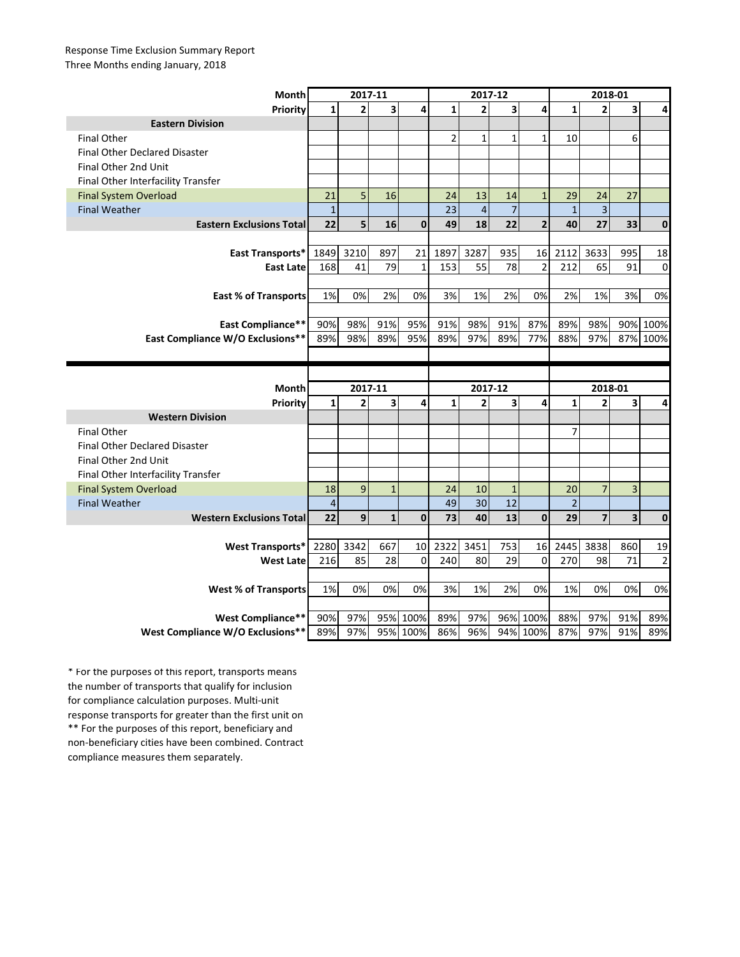## Response Time Exclusion Summary Report Three Months ending January, 2018

| <b>Month</b>                                                 | 2017-11        |                |              |                  | 2017-12        |                |                |                      | 2018-01        |                |            |                |
|--------------------------------------------------------------|----------------|----------------|--------------|------------------|----------------|----------------|----------------|----------------------|----------------|----------------|------------|----------------|
| Priority                                                     | 1              | $\overline{2}$ | 3            | 4                | $\mathbf{1}$   | $\overline{2}$ | 3              | 4                    | $\mathbf{1}$   | $\overline{2}$ | 3          | 4              |
| <b>Eastern Division</b>                                      |                |                |              |                  |                |                |                |                      |                |                |            |                |
| <b>Final Other</b>                                           |                |                |              |                  | $\overline{2}$ | $\mathbf{1}$   | $\mathbf{1}$   | $\mathbf{1}$         | 10             |                | 6          |                |
| Final Other Declared Disaster                                |                |                |              |                  |                |                |                |                      |                |                |            |                |
| Final Other 2nd Unit                                         |                |                |              |                  |                |                |                |                      |                |                |            |                |
| Final Other Interfacility Transfer                           |                |                |              |                  |                |                |                |                      |                |                |            |                |
| <b>Final System Overload</b>                                 | 21             | 5              | 16           |                  | 24             | 13             | 14             | $\mathbf{1}$         | 29             | 24             | 27         |                |
| <b>Final Weather</b>                                         | $\mathbf{1}$   |                |              |                  | 23             | $\overline{4}$ | $\overline{7}$ |                      | $\mathbf{1}$   | 3              |            |                |
| <b>Eastern Exclusions Total</b>                              | 22             | 5              | 16           | $\mathbf{0}$     | 49             | 18             | 22             | $\overline{2}$       | 40             | 27             | 33         | $\bf{0}$       |
|                                                              |                |                |              |                  |                |                |                |                      |                |                |            |                |
| East Transports*                                             | 1849           | 3210           | 897          | 21               | 1897           | 3287           | 935            | 16                   | 2112           | 3633           | 995        | 18             |
| <b>East Late</b>                                             | 168            | 41             | 79           | $\mathbf{1}$     | 153            | 55             | 78             | $\overline{2}$       | 212            | 65             | 91         | $\mathbf 0$    |
|                                                              |                |                |              |                  |                |                |                |                      |                |                |            |                |
| <b>East % of Transports</b>                                  | 1%             | 0%             | 2%           | 0%               | 3%             | 1%             | 2%             | 0%                   | 2%             | 1%             | 3%         | 0%             |
|                                                              |                |                |              |                  |                |                |                |                      |                |                |            |                |
| <b>East Compliance**</b>                                     | 90%            | 98%            | 91%          | 95%              | 91%            | 98%            | 91%            | 87%                  | 89%            | 98%            |            | 90% 100%       |
| East Compliance W/O Exclusions**                             | 89%            | 98%            | 89%          | 95%              | 89%            | 97%            | 89%            | 77%                  | 88%            | 97%            |            | 87% 100%       |
|                                                              |                |                |              |                  |                |                |                |                      |                |                |            |                |
|                                                              |                |                |              |                  |                |                |                |                      |                |                |            |                |
|                                                              |                |                |              |                  |                |                |                |                      |                |                |            |                |
| Month                                                        |                | 2017-11        |              |                  |                | 2017-12        |                |                      |                | 2018-01        |            |                |
| <b>Priority</b>                                              | $\mathbf{1}$   | $\overline{2}$ | 3            | 4                | $\mathbf{1}$   | $\overline{2}$ | 3              | 4                    | $\mathbf{1}$   | $\overline{2}$ | 3          | 4              |
| <b>Western Division</b>                                      |                |                |              |                  |                |                |                |                      |                |                |            |                |
| <b>Final Other</b>                                           |                |                |              |                  |                |                |                |                      | $\overline{7}$ |                |            |                |
| <b>Final Other Declared Disaster</b>                         |                |                |              |                  |                |                |                |                      |                |                |            |                |
| Final Other 2nd Unit                                         |                |                |              |                  |                |                |                |                      |                |                |            |                |
| Final Other Interfacility Transfer                           |                |                |              |                  |                |                |                |                      |                |                |            |                |
| <b>Final System Overload</b>                                 | 18             | 9              | $\mathbf{1}$ |                  | 24             | 10             | $\mathbf{1}$   |                      | 20             | $\overline{7}$ | 3          |                |
| <b>Final Weather</b>                                         | $\overline{4}$ |                |              |                  | 49             | 30             | 12             |                      | $\overline{2}$ |                |            |                |
| <b>Western Exclusions Total</b>                              | 22             | 9              | $\mathbf{1}$ | $\mathbf 0$      | 73             | 40             | 13             | $\mathbf 0$          | 29             | 7              | 3          | $\bf{0}$       |
|                                                              |                |                |              |                  |                |                |                |                      |                |                |            |                |
| <b>West Transports*</b>                                      | 2280           | 3342           | 667          | 10               | 2322           | 3451           | 753            | 16                   | 2445           | 3838           | 860        | 19             |
| <b>West Late</b>                                             | 216            | 85             | 28           | $\Omega$         | 240            | 80             | 29             | $\mathbf 0$          | 270            | 98             | 71         | $\overline{2}$ |
|                                                              |                |                |              |                  |                |                |                |                      |                |                |            |                |
| <b>West % of Transports</b>                                  | 1%             | 0%             | 0%           | 0%               | 3%             | 1%             | 2%             | 0%                   | 1%             | 0%             | 0%         | 0%             |
|                                                              |                |                |              |                  |                |                |                |                      |                |                |            |                |
| <b>West Compliance**</b><br>West Compliance W/O Exclusions** | 90%<br>89%     | 97%<br>97%     | 95%          | 100%<br>95% 100% | 89%<br>86%     | 97%<br>96%     |                | 96% 100%<br>94% 100% | 88%<br>87%     | 97%<br>97%     | 91%<br>91% | 89%<br>89%     |

\*\* For the purposes of this report, beneficiary and non-beneficiary cities have been combined. Contract compliance measures them separately. \* For the purposes of this report, transports means the number of transports that qualify for inclusion for compliance calculation purposes. Multi-unit response transports for greater than the first unit on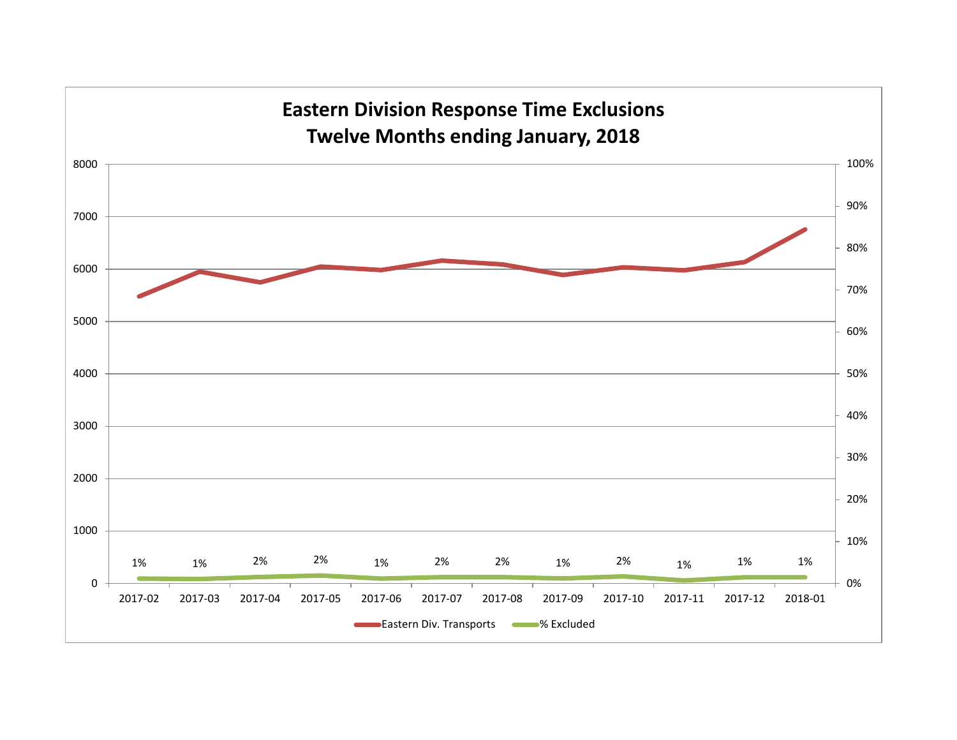